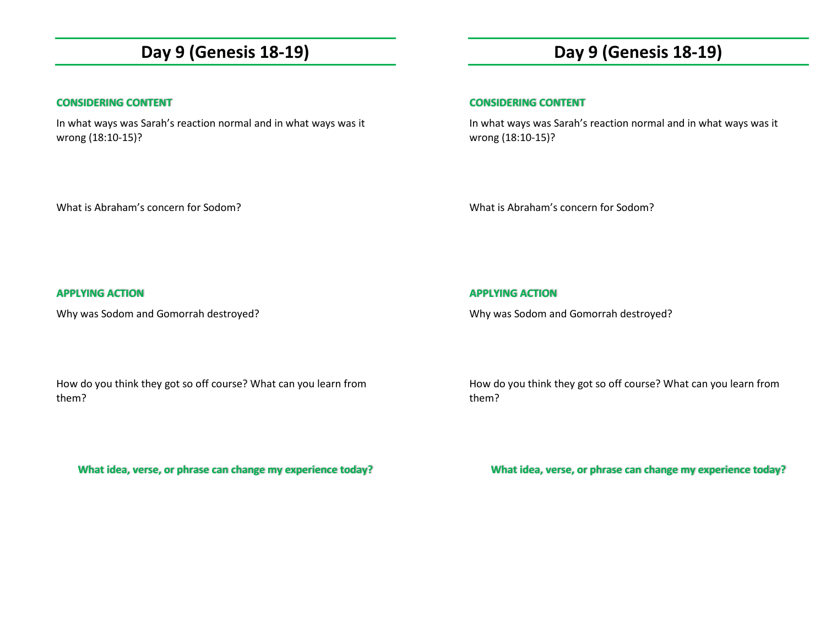## **Day 9 (Genesis 18-19)**

### **CONSIDERING CONTENT**

In what ways was Sarah's reaction normal and in what ways was it wrong (18:10-15)?

# **Day 9 (Genesis 18-19)**

### **CONSIDERING CONTENT**

In what ways was Sarah's reaction normal and in what ways was it wrong (18:10-15)?

What is Abraham's concern for Sodom?

What is Abraham's concern for Sodom?

## **APPLYING ACTION**

Why was Sodom and Gomorrah destroyed?

How do you think they got so off course? What can you learn from them?

**What idea, verse, or phrase can change my experience today?** 

**APPLYING ACTION** 

Why was Sodom and Gomorrah destroyed?

How do you think they got so off course? What can you learn from them?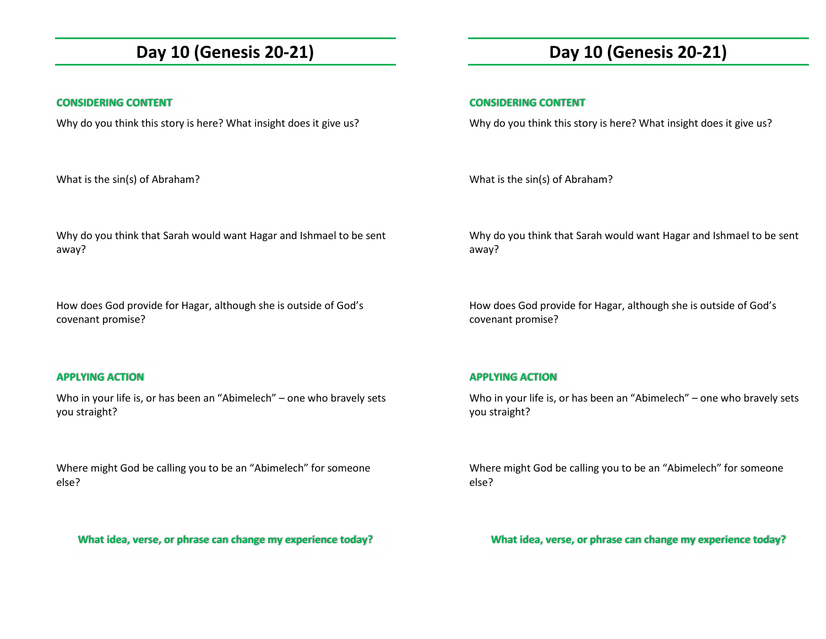## **Day 10 (Genesis 20-21)**

### **CONSIDERING CONTENT**

Why do you think this story is here? What insight does it give us?

What is the sin(s) of Abraham?

Why do you think that Sarah would want Hagar and Ishmael to be sent away?

How does God provide for Hagar, although she is outside of God's covenant promise?

## **APPLYING ACTION**

Who in your life is, or has been an "Abimelech" – one who bravely sets you straight?

Where might God be calling you to be an "Abimelech" for someone else?

**What idea, verse, or phrase can change my experience today?** 

# **Day 10 (Genesis 20-21)**

## **CONSIDERING CONTENT**

Why do you think this story is here? What insight does it give us?

What is the sin(s) of Abraham?

Why do you think that Sarah would want Hagar and Ishmael to be sent away?

How does God provide for Hagar, although she is outside of God's covenant promise?

## **APPLYING ACTION**

Who in your life is, or has been an "Abimelech" – one who bravely sets you straight?

Where might God be calling you to be an "Abimelech" for someone else?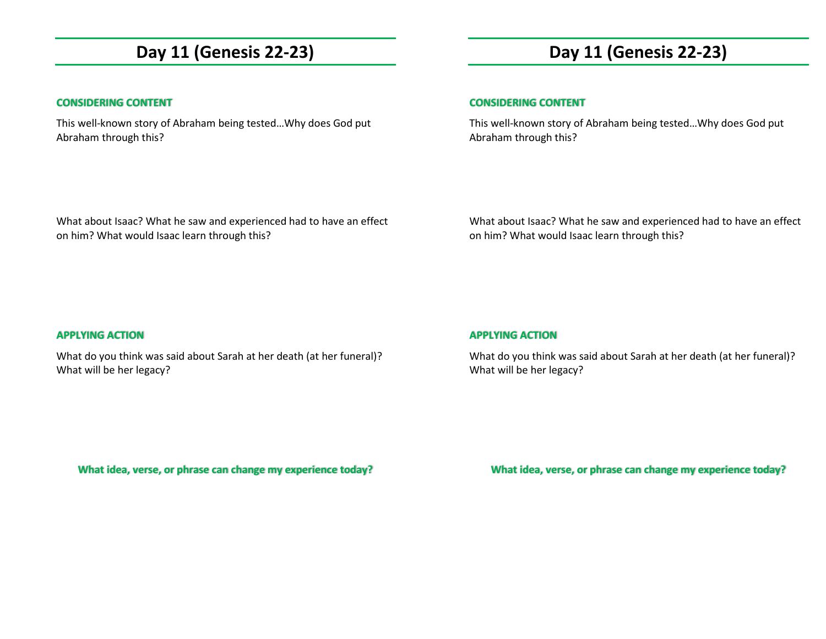## **Day 11 (Genesis 22-23)**

### **CONSIDERING CONTENT**

This well-known story of Abraham being tested…Why does God put Abraham through this?

# **Day 11 (Genesis 22-23)**

### **CONSIDERING CONTENT**

This well-known story of Abraham being tested…Why does God put Abraham through this?

What about Isaac? What he saw and experienced had to have an effect on him? What would Isaac learn through this?

What about Isaac? What he saw and experienced had to have an effect on him? What would Isaac learn through this?

#### **APPLYING ACTION**

What do you think was said about Sarah at her death (at her funeral)? What will be her legacy?

#### **APPLYING ACTION**

What do you think was said about Sarah at her death (at her funeral)? What will be her legacy?

**What idea, verse, or phrase can change my experience today?**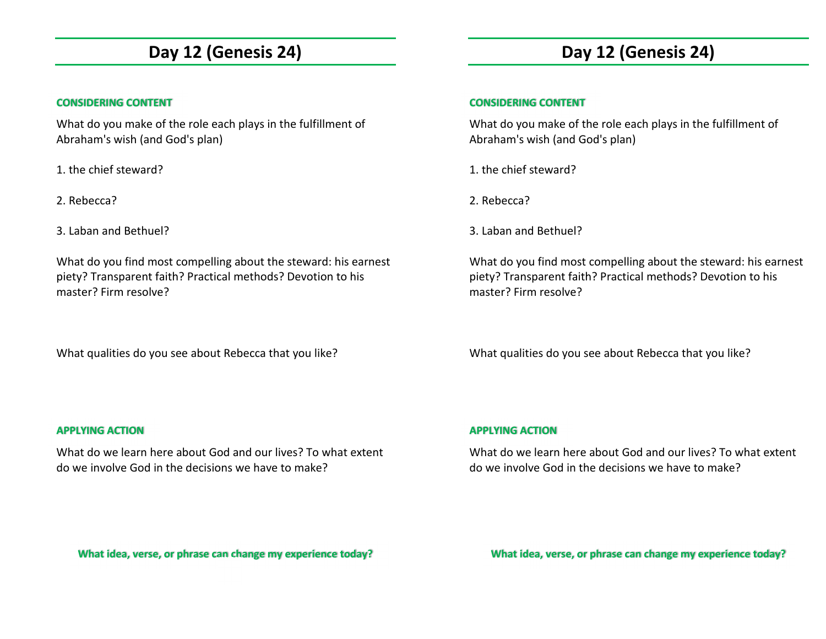## **Day 12 (Genesis 24)**

## **CONSIDERING CONTENT**

What do you make of the role each plays in the fulfillment of Abraham's wish (and God's plan)

1. the chief steward?

2. Rebecca?

3. Laban and Bethuel?

What do you find most compelling about the steward: his earnest piety? Transparent faith? Practical methods? Devotion to his master? Firm resolve?

What qualities do you see about Rebecca that you like?

# **Day 12 (Genesis 24)**

## **CONSIDERING CONTENT**

What do you make of the role each plays in the fulfillment of Abraham's wish (and God's plan)

- 1. the chief steward?
- 2. Rebecca?
- 3. Laban and Bethuel?

What do you find most compelling about the steward: his earnest piety? Transparent faith? Practical methods? Devotion to his master? Firm resolve?

What qualities do you see about Rebecca that you like?

### **APPLYING ACTION**

What do we learn here about God and our lives? To what extent do we involve God in the decisions we have to make?

## **APPLYING ACTION**

What do we learn here about God and our lives? To what extent do we involve God in the decisions we have to make?

**What idea, verse, or phrase can change my experience today?**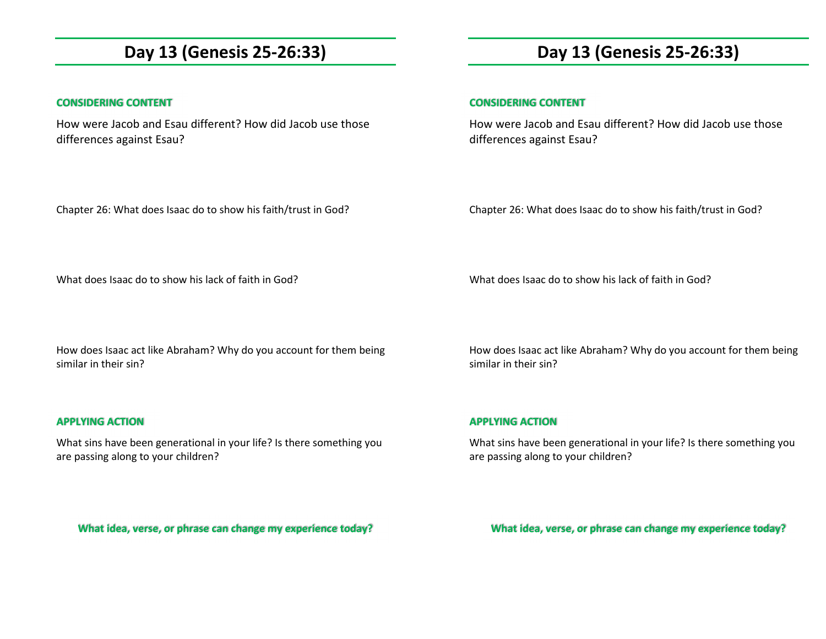## **Day 13 (Genesis 25-26:33)**

## **CONSIDERING CONTENT**

How were Jacob and Esau different? How did Jacob use those differences against Esau?

Chapter 26: What does Isaac do to show his faith/trust in God?

**Day 13 (Genesis 25-26:33)** 

### **CONSIDERING CONTENT**

How were Jacob and Esau different? How did Jacob use those differences against Esau?

Chapter 26: What does Isaac do to show his faith/trust in God?

What does Isaac do to show his lack of faith in God?

What does Isaac do to show his lack of faith in God?

How does Isaac act like Abraham? Why do you account for them being similar in their sin?

### **APPLYING ACTION**

What sins have been generational in your life? Is there something you are passing along to your children?

How does Isaac act like Abraham? Why do you account for them being similar in their sin?

### **APPLYING ACTION**

What sins have been generational in your life? Is there something you are passing along to your children?

**What idea, verse, or phrase can change my experience today?**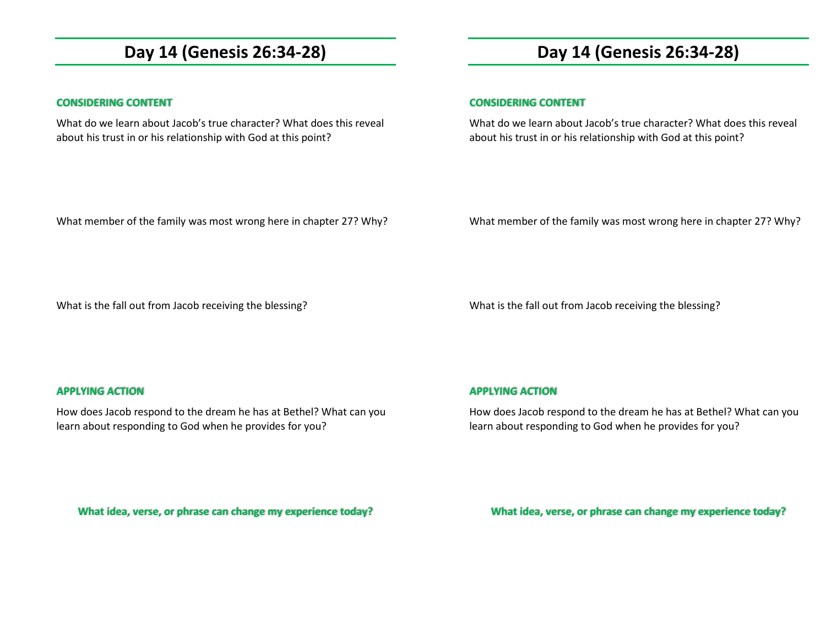## **Day 14 (Genesis 26:34-28)**

#### **CONSIDERING CONTENT**

What do we learn about Jacob's true character? What does this reveal about his trust in or his relationship with God at this point?

## **Day 14 (Genesis 26:34-28)**

#### **CONSIDERING CONTENT**

What do we learn about Jacob's true character? What does this reveal about his trust in or his relationship with God at this point?

What member of the family was most wrong here in chapter 27? Why?

What member of the family was most wrong here in chapter 27? Why?

What is the fall out from Jacob receiving the blessing?

What is the fall out from Jacob receiving the blessing?

### **APPLYING ACTION**

How does Jacob respond to the dream he has at Bethel? What can you learn about responding to God when he provides for you?

## **APPLYING ACTION**

How does Jacob respond to the dream he has at Bethel? What can you learn about responding to God when he provides for you?

**What idea, verse, or phrase can change my experience today?**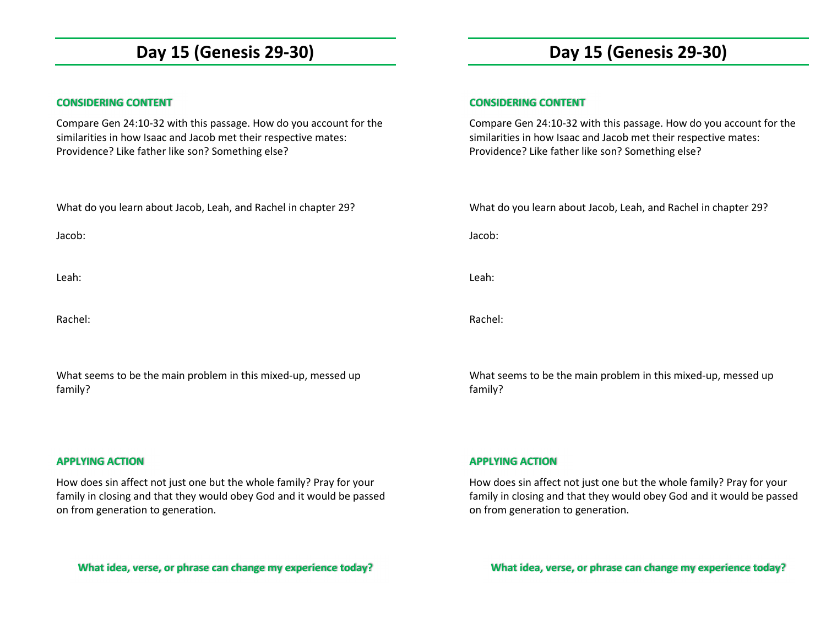## **Day 15 (Genesis 29-30)**

### **CONSIDERING CONTENT**

Compare Gen 24:10-32 with this passage. How do you account for the similarities in how Isaac and Jacob met their respective mates: Providence? Like father like son? Something else?

What do you learn about Jacob, Leah, and Rachel in chapter 29?

Jacob:

Leah:

Rachel:

What seems to be the main problem in this mixed-up, messed up family?

#### **APPLYING ACTION**

How does sin affect not just one but the whole family? Pray for your family in closing and that they would obey God and it would be passed on from generation to generation.

**What idea, verse, or phrase can change my experience today?** 

# **Day 15 (Genesis 29-30)**

#### **CONSIDERING CONTENT**

Compare Gen 24:10-32 with this passage. How do you account for the similarities in how Isaac and Jacob met their respective mates: Providence? Like father like son? Something else?

What do you learn about Jacob, Leah, and Rachel in chapter 29?

Jacob:

Leah:

Rachel:

What seems to be the main problem in this mixed-up, messed up family?

**APPLYING ACTION** 

How does sin affect not just one but the whole family? Pray for your family in closing and that they would obey God and it would be passed on from generation to generation.